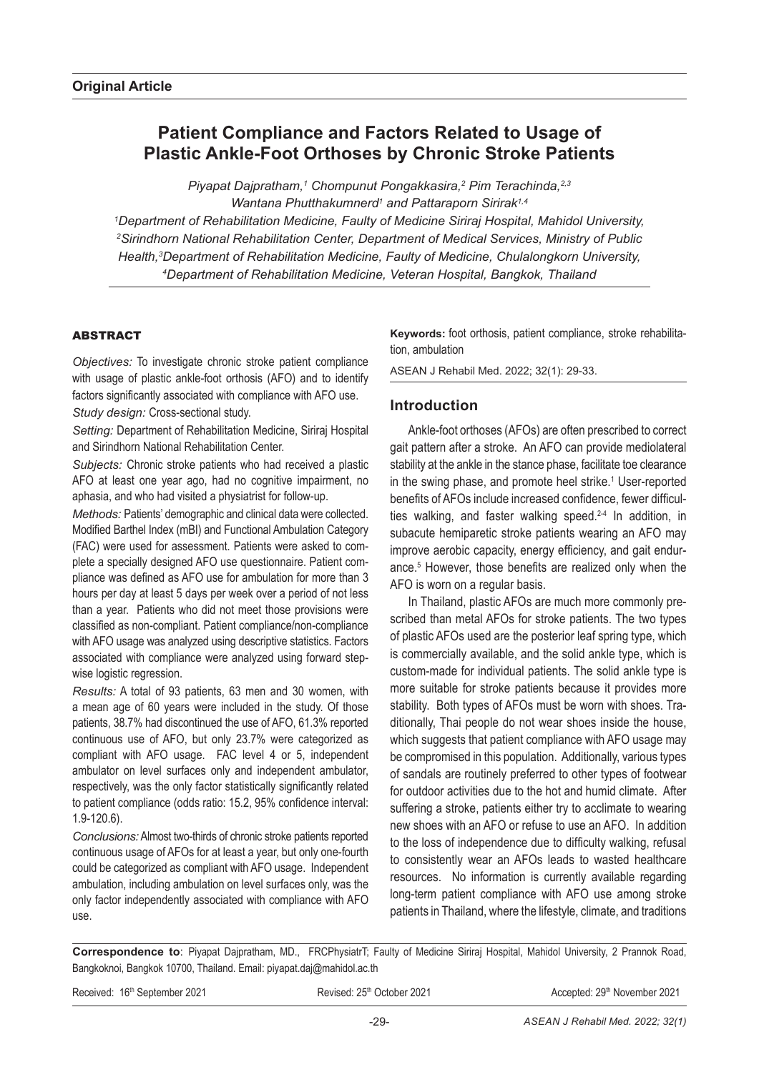# **Patient Compliance and Factors Related to Usage of Plastic Ankle-Foot Orthoses by Chronic Stroke Patients**

*Piyapat Dajpratham,1 Chompunut Pongakkasira,2 Pim Terachinda,2,3* Wantana Phutthakumnerd<sup>1</sup> and Pattaraporn Sirirak<sup>1,4</sup> *1 Department of Rehabilitation Medicine, Faulty of Medicine Siriraj Hospital, Mahidol University, 2 Sirindhorn National Rehabilitation Center, Department of Medical Services, Ministry of Public*  Health,<sup>3</sup>Department of Rehabilitation Medicine, Faulty of Medicine, Chulalongkorn University, *4 Department of Rehabilitation Medicine, Veteran Hospital, Bangkok, Thailand*

### ABSTRACT

*Objectives:* To investigate chronic stroke patient compliance with usage of plastic ankle-foot orthosis (AFO) and to identify factors significantly associated with compliance with AFO use. *Study design:* Cross-sectional study.

*Setting:* Department of Rehabilitation Medicine, Siriraj Hospital and Sirindhorn National Rehabilitation Center.

*Subjects:* Chronic stroke patients who had received a plastic AFO at least one year ago, had no cognitive impairment, no aphasia, and who had visited a physiatrist for follow-up.

*Methods:* Patients' demographic and clinical data were collected. Modified Barthel Index (mBI) and Functional Ambulation Category (FAC) were used for assessment. Patients were asked to complete a specially designed AFO use questionnaire. Patient compliance was defined as AFO use for ambulation for more than 3 hours per day at least 5 days per week over a period of not less than a year. Patients who did not meet those provisions were classified as non-compliant. Patient compliance/non-compliance with AFO usage was analyzed using descriptive statistics. Factors associated with compliance were analyzed using forward stepwise logistic regression.

*Results:* A total of 93 patients, 63 men and 30 women, with a mean age of 60 years were included in the study. Of those patients, 38.7% had discontinued the use of AFO, 61.3% reported continuous use of AFO, but only 23.7% were categorized as compliant with AFO usage. FAC level 4 or 5, independent ambulator on level surfaces only and independent ambulator, respectively, was the only factor statistically significantly related to patient compliance (odds ratio: 15.2, 95% confidence interval: 1.9-120.6).

*Conclusions:* Almost two-thirds of chronic stroke patients reported continuous usage of AFOs for at least a year, but only one-fourth could be categorized as compliant with AFO usage. Independent ambulation, including ambulation on level surfaces only, was the only factor independently associated with compliance with AFO use.

**Keywords:** foot orthosis, patient compliance, stroke rehabilitation, ambulation

ASEAN J Rehabil Med. 2022; 32(1): 29-33.

### **Introduction**

Ankle-foot orthoses (AFOs) are often prescribed to correct gait pattern after a stroke. An AFO can provide mediolateral stability at the ankle in the stance phase, facilitate toe clearance in the swing phase, and promote heel strike.<sup>1</sup> User-reported benefits of AFOs include increased confidence, fewer difficulties walking, and faster walking speed.<sup>2-4</sup> In addition, in subacute hemiparetic stroke patients wearing an AFO may improve aerobic capacity, energy efficiency, and gait endurance.5 However, those benefits are realized only when the AFO is worn on a regular basis.

In Thailand, plastic AFOs are much more commonly prescribed than metal AFOs for stroke patients. The two types of plastic AFOs used are the posterior leaf spring type, which is commercially available, and the solid ankle type, which is custom-made for individual patients. The solid ankle type is more suitable for stroke patients because it provides more stability. Both types of AFOs must be worn with shoes. Traditionally, Thai people do not wear shoes inside the house, which suggests that patient compliance with AFO usage may be compromised in this population. Additionally, various types of sandals are routinely preferred to other types of footwear for outdoor activities due to the hot and humid climate. After suffering a stroke, patients either try to acclimate to wearing new shoes with an AFO or refuse to use an AFO. In addition to the loss of independence due to difficulty walking, refusal to consistently wear an AFOs leads to wasted healthcare resources. No information is currently available regarding long-term patient compliance with AFO use among stroke patients in Thailand, where the lifestyle, climate, and traditions

**Correspondence to**: Piyapat Dajpratham, MD., FRCPhysiatrT; Faulty of Medicine Siriraj Hospital, Mahidol University, 2 Prannok Road, Bangkoknoi, Bangkok 10700, Thailand. Email: piyapat.daj@mahidol.ac.th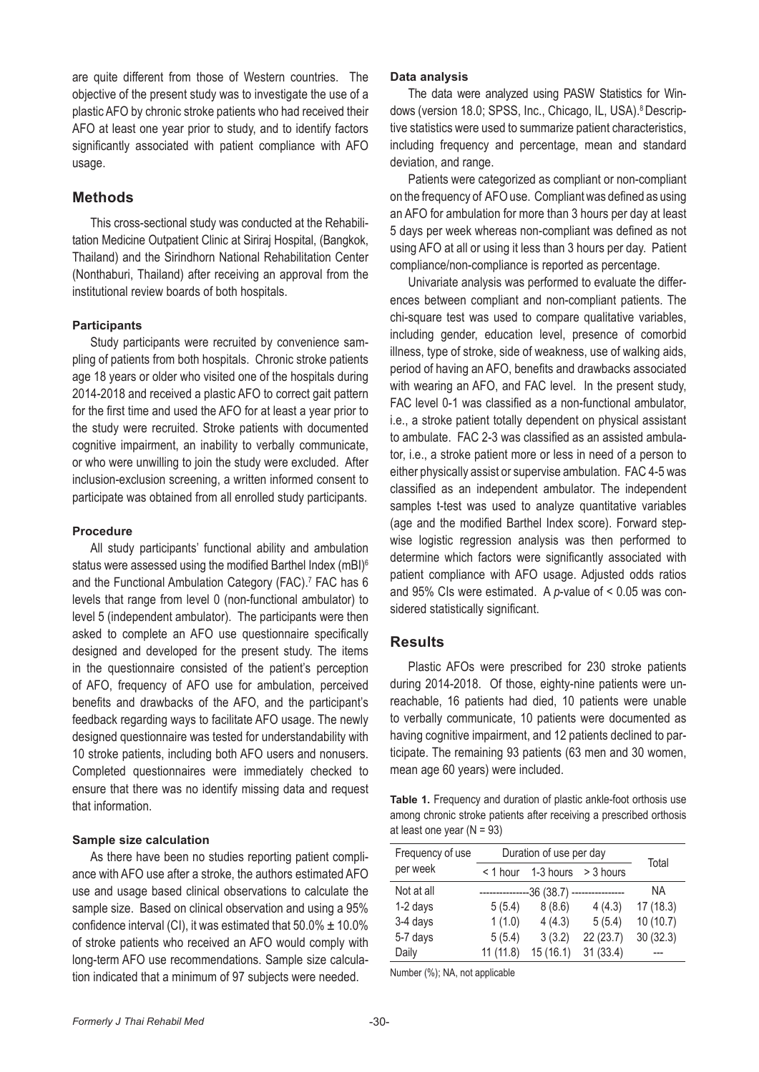are quite different from those of Western countries. The objective of the present study was to investigate the use of a plastic AFO by chronic stroke patients who had received their AFO at least one year prior to study, and to identify factors significantly associated with patient compliance with AFO usage.

### **Methods**

This cross-sectional study was conducted at the Rehabilitation Medicine Outpatient Clinic at Siriraj Hospital, (Bangkok, Thailand) and the Sirindhorn National Rehabilitation Center (Nonthaburi, Thailand) after receiving an approval from the institutional review boards of both hospitals.

#### **Participants**

Study participants were recruited by convenience sampling of patients from both hospitals. Chronic stroke patients age 18 years or older who visited one of the hospitals during 2014-2018 and received a plastic AFO to correct gait pattern for the first time and used the AFO for at least a year prior to the study were recruited. Stroke patients with documented cognitive impairment, an inability to verbally communicate, or who were unwilling to join the study were excluded. After inclusion-exclusion screening, a written informed consent to participate was obtained from all enrolled study participants.

#### **Procedure**

All study participants' functional ability and ambulation status were assessed using the modified Barthel Index (mBI)<sup>6</sup> and the Functional Ambulation Category (FAC).<sup>7</sup> FAC has 6 levels that range from level 0 (non-functional ambulator) to level 5 (independent ambulator). The participants were then asked to complete an AFO use questionnaire specifically designed and developed for the present study. The items in the questionnaire consisted of the patient's perception of AFO, frequency of AFO use for ambulation, perceived benefits and drawbacks of the AFO, and the participant's feedback regarding ways to facilitate AFO usage. The newly designed questionnaire was tested for understandability with 10 stroke patients, including both AFO users and nonusers. Completed questionnaires were immediately checked to ensure that there was no identify missing data and request that information.

#### **Sample size calculation**

As there have been no studies reporting patient compliance with AFO use after a stroke, the authors estimated AFO use and usage based clinical observations to calculate the sample size. Based on clinical observation and using a 95% confidence interval (CI), it was estimated that  $50.0\% \pm 10.0\%$ of stroke patients who received an AFO would comply with long-term AFO use recommendations. Sample size calculation indicated that a minimum of 97 subjects were needed.

#### **Data analysis**

The data were analyzed using PASW Statistics for Windows (version 18.0; SPSS, Inc., Chicago, IL, USA).<sup>8</sup> Descriptive statistics were used to summarize patient characteristics, including frequency and percentage, mean and standard deviation, and range.

Patients were categorized as compliant or non-compliant on the frequency of AFO use. Compliant was defined as using an AFO for ambulation for more than 3 hours per day at least 5 days per week whereas non-compliant was defined as not using AFO at all or using it less than 3 hours per day. Patient compliance/non-compliance is reported as percentage.

Univariate analysis was performed to evaluate the differences between compliant and non-compliant patients. The chi-square test was used to compare qualitative variables, including gender, education level, presence of comorbid illness, type of stroke, side of weakness, use of walking aids, period of having an AFO, benefits and drawbacks associated with wearing an AFO, and FAC level. In the present study, FAC level 0-1 was classified as a non-functional ambulator, i.e., a stroke patient totally dependent on physical assistant to ambulate. FAC 2-3 was classified as an assisted ambulator, i.e., a stroke patient more or less in need of a person to either physically assist or supervise ambulation. FAC 4-5 was classified as an independent ambulator. The independent samples t-test was used to analyze quantitative variables (age and the modified Barthel Index score). Forward stepwise logistic regression analysis was then performed to determine which factors were significantly associated with patient compliance with AFO usage. Adjusted odds ratios and 95% CIs were estimated. A *p*-value of < 0.05 was considered statistically significant.

#### **Results**

Plastic AFOs were prescribed for 230 stroke patients during 2014-2018. Of those, eighty-nine patients were unreachable, 16 patients had died, 10 patients were unable to verbally communicate, 10 patients were documented as having cognitive impairment, and 12 patients declined to participate. The remaining 93 patients (63 men and 30 women, mean age 60 years) were included.

**Table 1.** Frequency and duration of plastic ankle-foot orthosis use among chronic stroke patients after receiving a prescribed orthosis at least one year  $(N = 93)$ 

| Frequency of use | Duration of use per day | Total         |               |          |
|------------------|-------------------------|---------------|---------------|----------|
| per week         | $<$ 1 hour              | 1-3 hours     | > 3 hours     |          |
| Not at all       | ----------              | -36 (38.7) -- | ------------- | NA       |
| 1-2 days         | 5(5.4)                  | 8(8.6)        | 4(4.3)        | 17(18.3) |
| 3-4 days         | 1(1.0)                  | 4(4.3)        | 5(5.4)        | 10(10.7) |
| 5-7 days         | 5(5.4)                  | 3(3.2)        | 22(23.7)      | 30(32.3) |
| Daily            | 11(11.8)                | 15(16.1)      | 31(33.4)      |          |

Number (%); NA, not applicable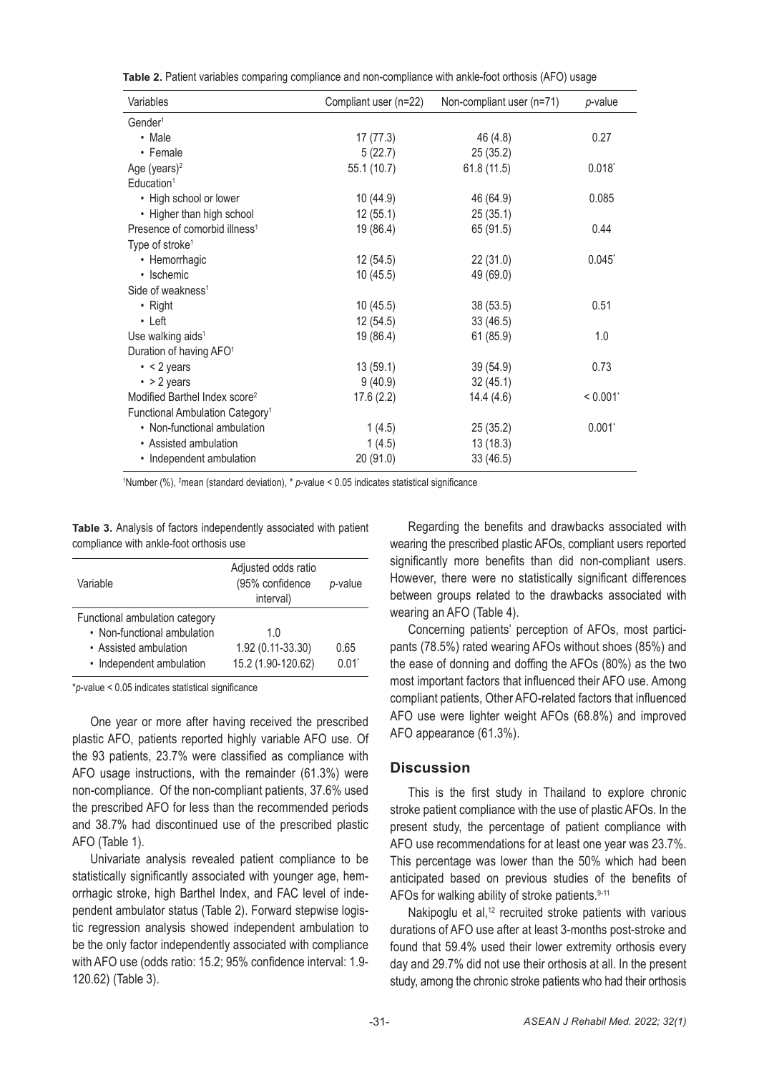|  | Table 2. Patient variables comparing compliance and non-compliance with ankle-foot orthosis (AFO) usage |  |
|--|---------------------------------------------------------------------------------------------------------|--|
|--|---------------------------------------------------------------------------------------------------------|--|

| Variables                                   | Compliant user (n=22) | Non-compliant user (n=71) | p-value   |
|---------------------------------------------|-----------------------|---------------------------|-----------|
| Gender <sup>1</sup>                         |                       |                           |           |
| • Male                                      | 17(77.3)              | 46 (4.8)                  | 0.27      |
| • Female                                    | 5(22.7)               | 25(35.2)                  |           |
| Age (years) $2$                             | 55.1 (10.7)           | 61.8(11.5)                | 0.018     |
| Education <sup>1</sup>                      |                       |                           |           |
| • High school or lower                      | 10 (44.9)             | 46 (64.9)                 | 0.085     |
| • Higher than high school                   | 12(55.1)              | 25(35.1)                  |           |
| Presence of comorbid illness <sup>1</sup>   | 19 (86.4)             | 65 (91.5)                 | 0.44      |
| Type of stroke <sup>1</sup>                 |                       |                           |           |
| • Hemorrhagic                               | 12 (54.5)             | 22(31.0)                  | $0.045^*$ |
| • Ischemic                                  | 10 (45.5)             | 49 (69.0)                 |           |
| Side of weakness <sup>1</sup>               |                       |                           |           |
| • Right                                     | 10(45.5)              | 38 (53.5)                 | 0.51      |
| $\cdot$ Left                                | 12 (54.5)             | 33(46.5)                  |           |
| Use walking aids <sup>1</sup>               | 19 (86.4)             | 61(85.9)                  | 1.0       |
| Duration of having AFO <sup>1</sup>         |                       |                           |           |
| $\cdot$ < 2 years                           | 13(59.1)              | 39 (54.9)                 | 0.73      |
| $\cdot$ > 2 years                           | 9(40.9)               | 32(45.1)                  |           |
| Modified Barthel Index score <sup>2</sup>   | 17.6(2.2)             | 14.4(4.6)                 | < 0.001   |
| Functional Ambulation Category <sup>1</sup> |                       |                           |           |
| • Non-functional ambulation                 | 1(4.5)                | 25(35.2)                  | $0.001^*$ |
| • Assisted ambulation                       | 1(4.5)                | 13(18.3)                  |           |
| • Independent ambulation                    | 20 (91.0)             | 33 (46.5)                 |           |

<sup>1</sup>Number (%), <sup>2</sup>mean (standard deviation), \* p-value < 0.05 indicates statistical significance

**Table 3.** Analysis of factors independently associated with patient compliance with ankle-foot orthosis use

| Variable                                                                                                           | Adjusted odds ratio<br>(95% confidence<br>interval) | p-value                     |
|--------------------------------------------------------------------------------------------------------------------|-----------------------------------------------------|-----------------------------|
| Functional ambulation category<br>• Non-functional ambulation<br>• Assisted ambulation<br>• Independent ambulation | 1 O<br>1.92 (0.11-33.30)<br>15.2 (1.90-120.62)      | 0.65<br>$0.01$ <sup>*</sup> |

\**p*-value < 0.05 indicates statistical significance

One year or more after having received the prescribed plastic AFO, patients reported highly variable AFO use. Of the 93 patients, 23.7% were classified as compliance with AFO usage instructions, with the remainder (61.3%) were non-compliance. Of the non-compliant patients, 37.6% used the prescribed AFO for less than the recommended periods and 38.7% had discontinued use of the prescribed plastic AFO (Table 1).

Univariate analysis revealed patient compliance to be statistically significantly associated with younger age, hemorrhagic stroke, high Barthel Index, and FAC level of independent ambulator status (Table 2). Forward stepwise logistic regression analysis showed independent ambulation to be the only factor independently associated with compliance with AFO use (odds ratio: 15.2; 95% confidence interval: 1.9- 120.62) (Table 3).

Regarding the benefits and drawbacks associated with wearing the prescribed plastic AFOs, compliant users reported significantly more benefits than did non-compliant users. However, there were no statistically significant differences between groups related to the drawbacks associated with wearing an AFO (Table 4).

Concerning patients' perception of AFOs, most participants (78.5%) rated wearing AFOs without shoes (85%) and the ease of donning and doffing the AFOs (80%) as the two most important factors that influenced their AFO use. Among compliant patients, Other AFO-related factors that influenced AFO use were lighter weight AFOs (68.8%) and improved AFO appearance (61.3%).

### **Discussion**

This is the first study in Thailand to explore chronic stroke patient compliance with the use of plastic AFOs. In the present study, the percentage of patient compliance with AFO use recommendations for at least one year was 23.7%. This percentage was lower than the 50% which had been anticipated based on previous studies of the benefits of AFOs for walking ability of stroke patients.<sup>9-11</sup>

Nakipoglu et al,<sup>12</sup> recruited stroke patients with various durations of AFO use after at least 3-months post-stroke and found that 59.4% used their lower extremity orthosis every day and 29.7% did not use their orthosis at all. In the present study, among the chronic stroke patients who had their orthosis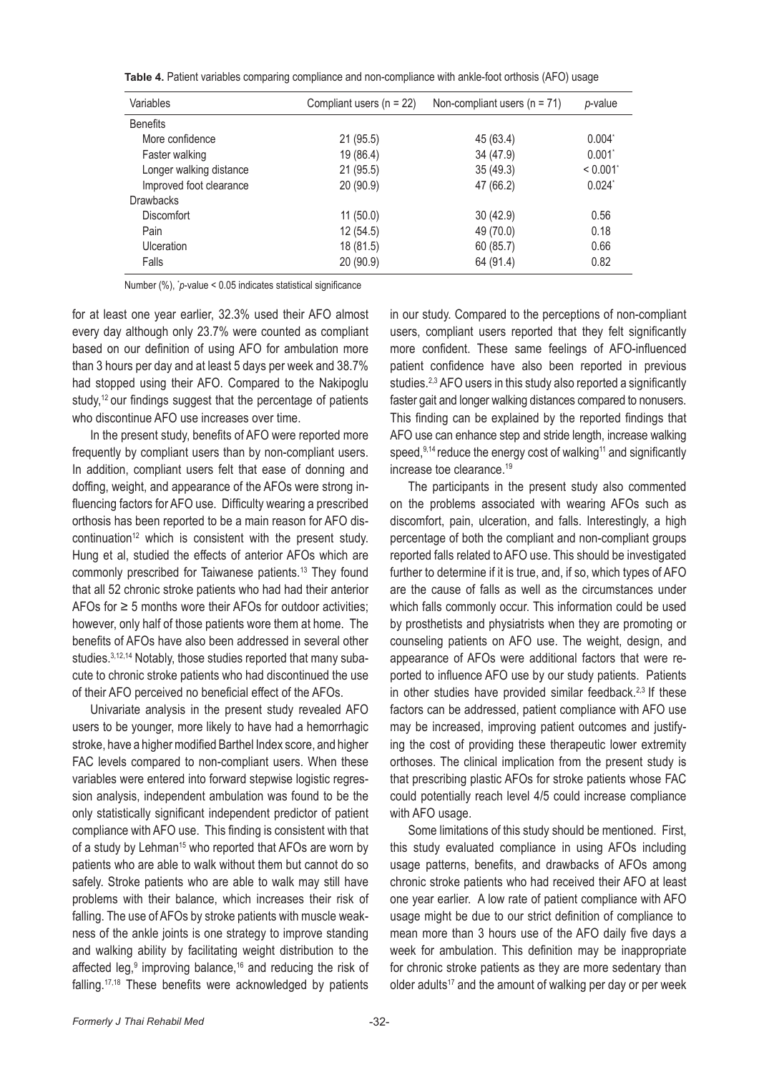**Table 4.** Patient variables comparing compliance and non-compliance with ankle-foot orthosis (AFO) usage

| Variables               | Compliant users $(n = 22)$ | Non-compliant users $(n = 71)$ | p-value         |
|-------------------------|----------------------------|--------------------------------|-----------------|
| <b>Benefits</b>         |                            |                                |                 |
| More confidence         | 21(95.5)                   | 45 (63.4)                      | $0.004^{\circ}$ |
| Faster walking          | 19 (86.4)                  | 34 (47.9)                      | 0.001           |
| Longer walking distance | 21(95.5)                   | 35(49.3)                       | < 0.001         |
| Improved foot clearance | 20(90.9)                   | 47 (66.2)                      | $0.024^{\circ}$ |
| <b>Drawbacks</b>        |                            |                                |                 |
| Discomfort              | 11(50.0)                   | 30(42.9)                       | 0.56            |
| Pain                    | 12(54.5)                   | 49 (70.0)                      | 0.18            |
| Ulceration              | 18 (81.5)                  | 60(85.7)                       | 0.66            |
| Falls                   | 20 (90.9)                  | 64 (91.4)                      | 0.82            |

Number (%), \* *p*-value < 0.05 indicates statistical significance

for at least one year earlier, 32.3% used their AFO almost every day although only 23.7% were counted as compliant based on our definition of using AFO for ambulation more than 3 hours per day and at least 5 days per week and 38.7% had stopped using their AFO. Compared to the Nakipoglu study,<sup>12</sup> our findings suggest that the percentage of patients who discontinue AFO use increases over time.

In the present study, benefits of AFO were reported more frequently by compliant users than by non-compliant users. In addition, compliant users felt that ease of donning and doffing, weight, and appearance of the AFOs were strong influencing factors for AFO use. Difficulty wearing a prescribed orthosis has been reported to be a main reason for AFO discontinuation<sup>12</sup> which is consistent with the present study. Hung et al, studied the effects of anterior AFOs which are commonly prescribed for Taiwanese patients.<sup>13</sup> They found that all 52 chronic stroke patients who had had their anterior AFOs for  $\geq$  5 months wore their AFOs for outdoor activities: however, only half of those patients wore them at home. The benefits of AFOs have also been addressed in several other studies.<sup>3,12,14</sup> Notably, those studies reported that many subacute to chronic stroke patients who had discontinued the use of their AFO perceived no beneficial effect of the AFOs.

Univariate analysis in the present study revealed AFO users to be younger, more likely to have had a hemorrhagic stroke, have a higher modified Barthel Index score, and higher FAC levels compared to non-compliant users. When these variables were entered into forward stepwise logistic regression analysis, independent ambulation was found to be the only statistically significant independent predictor of patient compliance with AFO use. This finding is consistent with that of a study by Lehman<sup>15</sup> who reported that AFOs are worn by patients who are able to walk without them but cannot do so safely. Stroke patients who are able to walk may still have problems with their balance, which increases their risk of falling. The use of AFOs by stroke patients with muscle weakness of the ankle joints is one strategy to improve standing and walking ability by facilitating weight distribution to the affected leg,<sup>9</sup> improving balance,<sup>16</sup> and reducing the risk of falling.17,18 These benefits were acknowledged by patients

in our study. Compared to the perceptions of non-compliant users, compliant users reported that they felt significantly more confident. These same feelings of AFO-influenced patient confidence have also been reported in previous studies.<sup>2,3</sup> AFO users in this study also reported a significantly faster gait and longer walking distances compared to nonusers. This finding can be explained by the reported findings that AFO use can enhance step and stride length, increase walking speed,  $9,14$  reduce the energy cost of walking<sup>11</sup> and significantly increase toe clearance.<sup>19</sup>

The participants in the present study also commented on the problems associated with wearing AFOs such as discomfort, pain, ulceration, and falls. Interestingly, a high percentage of both the compliant and non-compliant groups reported falls related to AFO use. This should be investigated further to determine if it is true, and, if so, which types of AFO are the cause of falls as well as the circumstances under which falls commonly occur. This information could be used by prosthetists and physiatrists when they are promoting or counseling patients on AFO use. The weight, design, and appearance of AFOs were additional factors that were reported to influence AFO use by our study patients. Patients in other studies have provided similar feedback.<sup>2,3</sup> If these factors can be addressed, patient compliance with AFO use may be increased, improving patient outcomes and justifying the cost of providing these therapeutic lower extremity orthoses. The clinical implication from the present study is that prescribing plastic AFOs for stroke patients whose FAC could potentially reach level 4/5 could increase compliance with AFO usage.

Some limitations of this study should be mentioned. First, this study evaluated compliance in using AFOs including usage patterns, benefits, and drawbacks of AFOs among chronic stroke patients who had received their AFO at least one year earlier. A low rate of patient compliance with AFO usage might be due to our strict definition of compliance to mean more than 3 hours use of the AFO daily five days a week for ambulation. This definition may be inappropriate for chronic stroke patients as they are more sedentary than older adults<sup>17</sup> and the amount of walking per day or per week